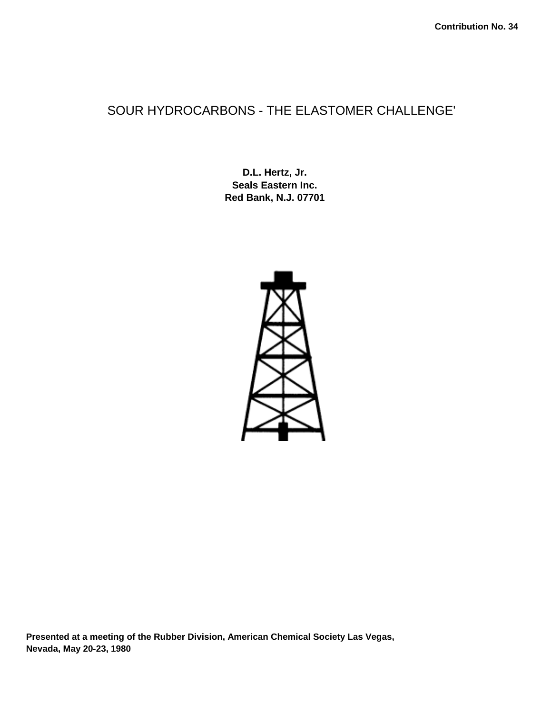## SOUR HYDROCARBONS - THE ELASTOMER CHALLENGE'

**D.L. Hertz, Jr. Seals Eastern Inc. Red Bank, N.J. 07701** 



**Presented at a meeting of the Rubber Division, American Chemical Society Las Vegas, Nevada, May 20-23, 1980**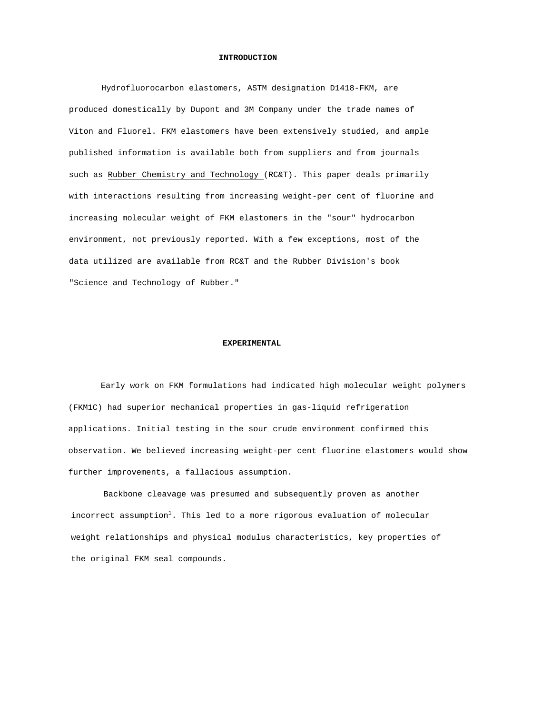#### **INTRODUCTION**

Hydrofluorocarbon elastomers, ASTM designation D1418-FKM, are produced domestically by Dupont and 3M Company under the trade names of Viton and Fluorel. FKM elastomers have been extensively studied, and ample published information is available both from suppliers and from journals such as Rubber Chemistry and Technology (RC&T). This paper deals primarily with interactions resulting from increasing weight-per cent of fluorine and increasing molecular weight of FKM elastomers in the "sour" hydrocarbon environment, not previously reported. With a few exceptions, most of the data utilized are available from RC&T and the Rubber Division's book "Science and Technology of Rubber."

#### **EXPERIMENTAL**

Early work on FKM formulations had indicated high molecular weight polymers (FKM1C) had superior mechanical properties in gas-liquid refrigeration applications. Initial testing in the sour crude environment confirmed this observation. We believed increasing weight-per cent fluorine elastomers would show further improvements, a fallacious assumption.

Backbone cleavage was presumed and subsequently proven as another incorrect assumption<sup>1</sup>. This led to a more rigorous evaluation of molecular weight relationships and physical modulus characteristics, key properties of the original FKM seal compounds.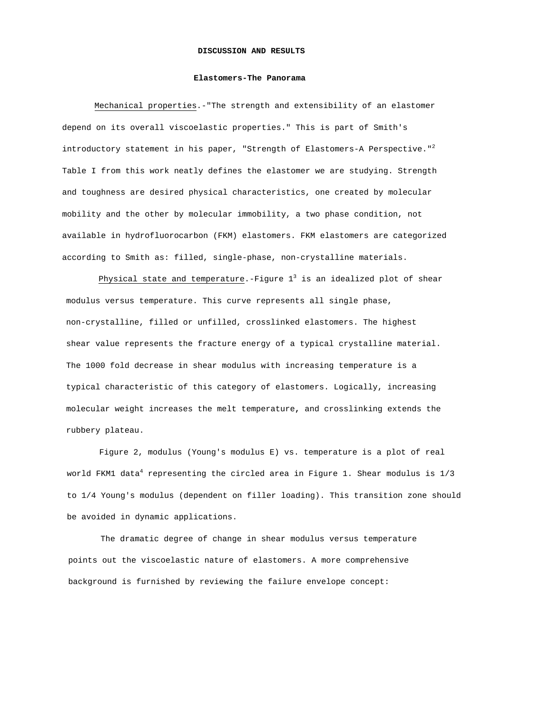#### **DISCUSSION AND RESULTS**

#### **Elastomers-The Panorama**

Mechanical properties.-"The strength and extensibility of an elastomer depend on its overall viscoelastic properties." This is part of Smith's introductory statement in his paper, "Strength of Elastomers-A Perspective."<sup>2</sup> Table I from this work neatly defines the elastomer we are studying. Strength and toughness are desired physical characteristics, one created by molecular mobility and the other by molecular immobility, a two phase condition, not available in hydrofluorocarbon (FKM) elastomers. FKM elastomers are categorized according to Smith as: filled, single-phase, non-crystalline materials.

Physical state and temperature.-Figure  $1^3$  is an idealized plot of shear modulus versus temperature. This curve represents all single phase, non-crystalline, filled or unfilled, crosslinked elastomers. The highest shear value represents the fracture energy of a typical crystalline material. The 1000 fold decrease in shear modulus with increasing temperature is a typical characteristic of this category of elastomers. Logically, increasing molecular weight increases the melt temperature**,** and crosslinking extends the rubbery plateau.

Figure 2, modulus (Young's modulus E) vs. temperature is a plot of real world FKM1 data<sup>4</sup> representing the circled area in Figure 1. Shear modulus is  $1/3$ to 1/4 Young's modulus (dependent on filler loading). This transition zone should be avoided in dynamic applications.

The dramatic degree of change in shear modulus versus temperature points out the viscoelastic nature of elastomers. A more comprehensive background is furnished by reviewing the failure envelope concept: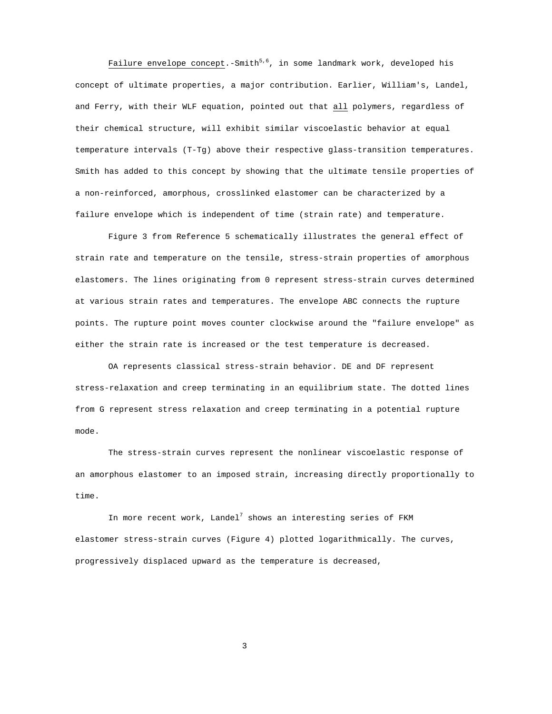Failure envelope concept.-Smith<sup>5,6</sup>, in some landmark work, developed his concept of ultimate properties, a major contribution. Earlier, William's, Landel, and Ferry, with their WLF equation, pointed out that all polymers, regardless of their chemical structure, will exhibit similar viscoelastic behavior at equal temperature intervals (T-Tg) above their respective glass-transition temperatures. Smith has added to this concept by showing that the ultimate tensile properties of a non-reinforced, amorphous, crosslinked elastomer can be characterized by a failure envelope which is independent of time (strain rate) and temperature.

Figure 3 from Reference 5 schematically illustrates the general effect of strain rate and temperature on the tensile, stress-strain properties of amorphous elastomers. The lines originating from 0 represent stress-strain curves determined at various strain rates and temperatures. The envelope ABC connects the rupture points. The rupture point moves counter clockwise around the "failure envelope" as either the strain rate is increased or the test temperature is decreased.

OA represents classical stress-strain behavior. DE and DF represent stress-relaxation and creep terminating in an equilibrium state. The dotted lines from G represent stress relaxation and creep terminating in a potential rupture mode.

The stress-strain curves represent the nonlinear viscoelastic response of an amorphous elastomer to an imposed strain, increasing directly proportionally to time.

In more recent work, Landel<sup>7</sup> shows an interesting series of FKM elastomer stress-strain curves (Figure 4) plotted logarithmically. The curves, progressively displaced upward as the temperature is decreased,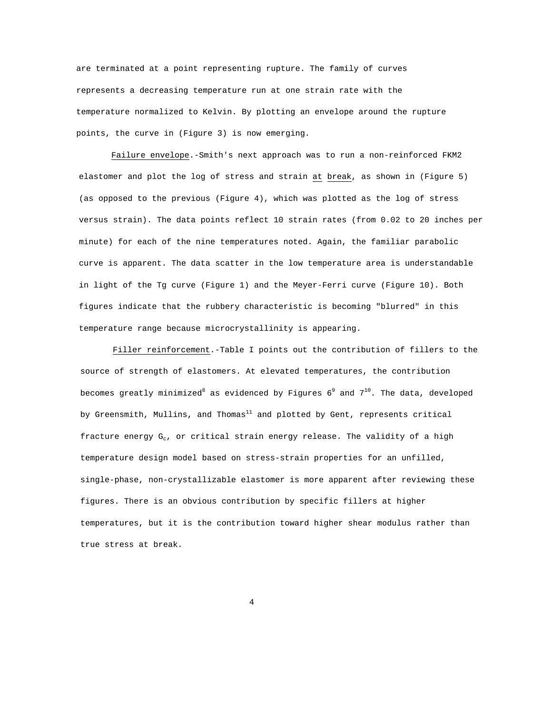are terminated at a point representing rupture. The family of curves represents a decreasing temperature run at one strain rate with the temperature normalized to Kelvin. By plotting an envelope around the rupture points, the curve in (Figure 3) is now emerging.

Failure envelope.-Smith's next approach was to run a non-reinforced FKM2 elastomer and plot the log of stress and strain at break, as shown in (Figure 5) (as opposed to the previous (Figure 4), which was plotted as the log of stress versus strain). The data points reflect 10 strain rates (from 0.02 to 20 inches per minute) for each of the nine temperatures noted. Again, the familiar parabolic curve is apparent. The data scatter in the low temperature area is understandable in light of the Tg curve (Figure 1) and the Meyer-Ferri curve (Figure 10). Both figures indicate that the rubbery characteristic is becoming "blurred" in this temperature range because microcrystallinity is appearing.

Filler reinforcement.-Table I points out the contribution of fillers to the source of strength of elastomers. At elevated temperatures, the contribution becomes greatly minimized<sup>8</sup> as evidenced by Figures  $6^9$  and  $7^{10}$ . The data, developed by Greensmith, Mullins, and Thomas<sup>11</sup> and plotted by Gent, represents critical fracture energy  $G_c$ , or critical strain energy release. The validity of a high temperature design model based on stress-strain properties for an unfilled, single-phase, non-crystallizable elastomer is more apparent after reviewing these figures. There is an obvious contribution by specific fillers at higher temperatures, but it is the contribution toward higher shear modulus rather than true stress at break.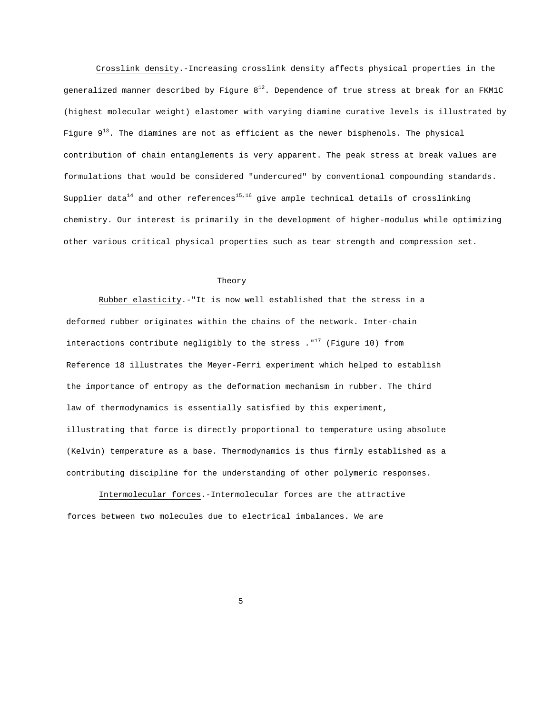Crosslink density.-Increasing crosslink density affects physical properties in the generalized manner described by Figure  $8^{12}$ . Dependence of true stress at break for an FKM1C (highest molecular weight) elastomer with varying diamine curative levels is illustrated by Figure  $9^{13}$ . The diamines are not as efficient as the newer bisphenols. The physical contribution of chain entanglements is very apparent. The peak stress at break values are formulations that would be considered "undercured" by conventional compounding standards. Supplier data<sup>14</sup> and other references<sup>15,16</sup> give ample technical details of crosslinking chemistry. Our interest is primarily in the development of higher-modulus while optimizing other various critical physical properties such as tear strength and compression set.

#### Theory

Rubber elasticity.-"It is now well established that the stress in a deformed rubber originates within the chains of the network. Inter-chain interactions contribute negligibly to the stress  $.$  "<sup>17</sup> (Figure 10) from Reference 18 illustrates the Meyer-Ferri experiment which helped to establish the importance of entropy as the deformation mechanism in rubber. The third law of thermodynamics is essentially satisfied by this experiment, illustrating that force is directly proportional to temperature using absolute (Kelvin) temperature as a base. Thermodynamics is thus firmly established as a contributing discipline for the understanding of other polymeric responses.

Intermolecular forces.-Intermolecular forces are the attractive forces between two molecules due to electrical imbalances. We are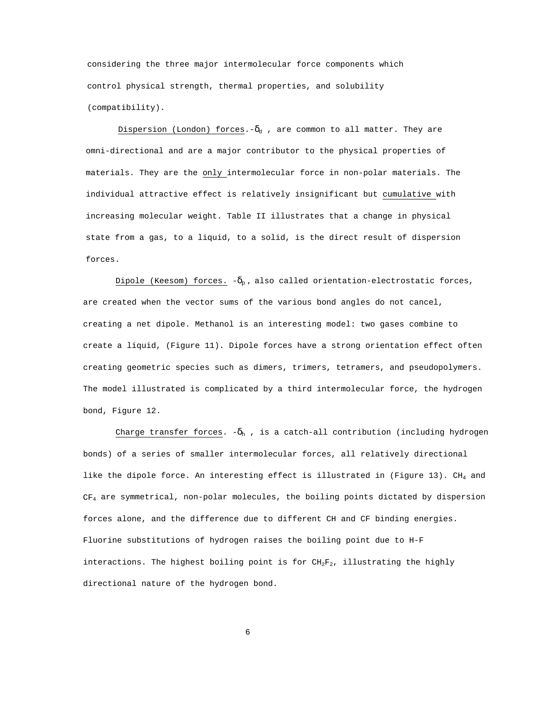considering the three major intermolecular force components which control physical strength, thermal properties, and solubility (compatibility).

Dispersion (London) forces.- $\delta_d$ , are common to all matter. They are omni-directional and are a major contributor to the physical properties of materials. They are the only intermolecular force in non-polar materials. The individual attractive effect is relatively insignificant but cumulative with increasing molecular weight. Table II illustrates that a change in physical state from a gas, to a liquid, to a solid, is the direct result of dispersion forces.

Dipole (Keesom) forces.  $-\delta_p$ , also called orientation-electrostatic forces, are created when the vector sums of the various bond angles do not cancel, creating a net dipole. Methanol is an interesting model: two gases combine to create a liquid, (Figure 11). Dipole forces have a strong orientation effect often creating geometric species such as dimers, trimers, tetramers, and pseudopolymers. The model illustrated is complicated by a third intermolecular force, the hydrogen bond, Figure 12.

Charge transfer forces.  $-\delta_h$ , is a catch-all contribution (including hydrogen bonds) of a series of smaller intermolecular forces, all relatively directional like the dipole force. An interesting effect is illustrated in (Figure 13).  $CH_4$  and  $CF<sub>4</sub>$  are symmetrical, non-polar molecules, the boiling points dictated by dispersion forces alone, and the difference due to different CH and CF binding energies. Fluorine substitutions of hydrogen raises the boiling point due to H-F interactions. The highest boiling point is for  $CH_2F_2$ , illustrating the highly directional nature of the hydrogen bond.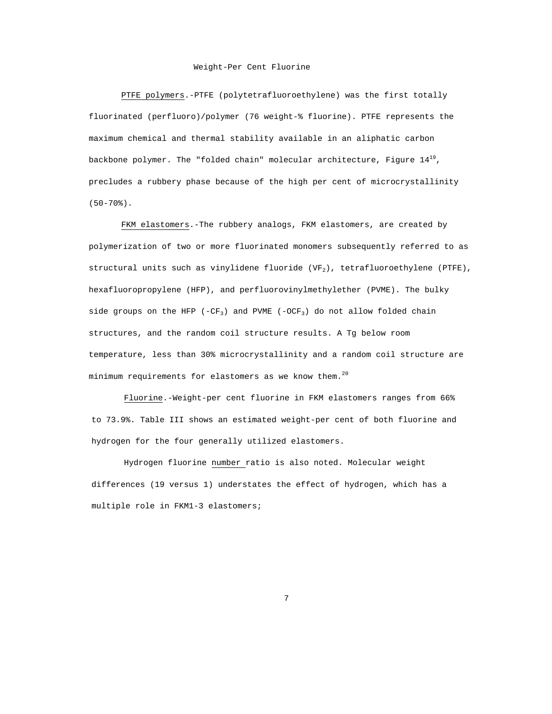#### Weight-Per Cent Fluorine

PTFE polymers.-PTFE (polytetrafluoroethylene) was the first totally fluorinated (perfluoro)/polymer (76 weight-% fluorine). PTFE represents the maximum chemical and thermal stability available in an aliphatic carbon backbone polymer. The "folded chain" molecular architecture, Figure  $14^{19}$ , precludes a rubbery phase because of the high per cent of microcrystallinity  $(50 - 70)$ .

FKM elastomers.-The rubbery analogs, FKM elastomers, are created by polymerization of two or more fluorinated monomers subsequently referred to as structural units such as vinylidene fluoride (VF2), tetrafluoroethylene (PTFE), hexafluoropropylene (HFP), and perfluorovinylmethylether (PVME). The bulky side groups on the HFP (-CF<sub>3</sub>) and PVME (-OCF<sub>3</sub>) do not allow folded chain structures, and the random coil structure results. A Tg below room temperature, less than 30% microcrystallinity and a random coil structure are minimum requirements for elastomers as we know them. $^{20}$ 

Fluorine.-Weight-per cent fluorine in FKM elastomers ranges from 66% to 73.9%. Table III shows an estimated weight-per cent of both fluorine and hydrogen for the four generally utilized elastomers.

Hydrogen fluorine number ratio is also noted. Molecular weight differences (19 versus 1) understates the effect of hydrogen, which has a multiple role in FKM1-3 elastomers;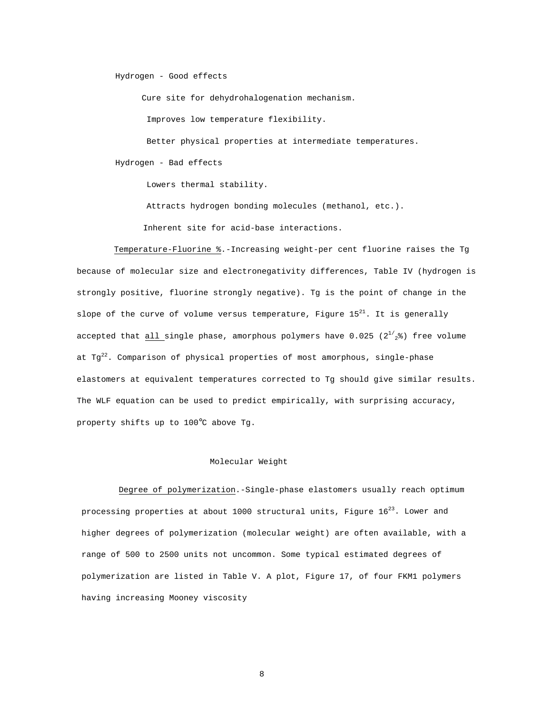Hydrogen - Good effects

Cure site for dehydrohalogenation mechanism.

Improves low temperature flexibility.

Better physical properties at intermediate temperatures.

Hydrogen - Bad effects

Lowers thermal stability.

Attracts hydrogen bonding molecules (methanol, etc.).

Inherent site for acid-base interactions.

Temperature-Fluorine %.-Increasing weight-per cent fluorine raises the Tg because of molecular size and electronegativity differences, Table IV (hydrogen is strongly positive, fluorine strongly negative). Tg is the point of change in the slope of the curve of volume versus temperature, Figure  $15^{21}$ . It is generally accepted that all single phase, amorphous polymers have 0.025 ( $2^{1/2}$ %) free volume at  $Tg^{22}$ . Comparison of physical properties of most amorphous, single-phase elastomers at equivalent temperatures corrected to Tg should give similar results. The WLF equation can be used to predict empirically, with surprising accuracy, property shifts up to 100°C above Tg.

### Molecular Weight

Degree of polymerization.-Single-phase elastomers usually reach optimum processing properties at about 1000 structural units, Figure  $16^{23}$ . Lower and higher degrees of polymerization (molecular weight) are often available, with a range of 500 to 2500 units not uncommon. Some typical estimated degrees of polymerization are listed in Table V. A plot, Figure 17, of four FKM1 polymers having increasing Mooney viscosity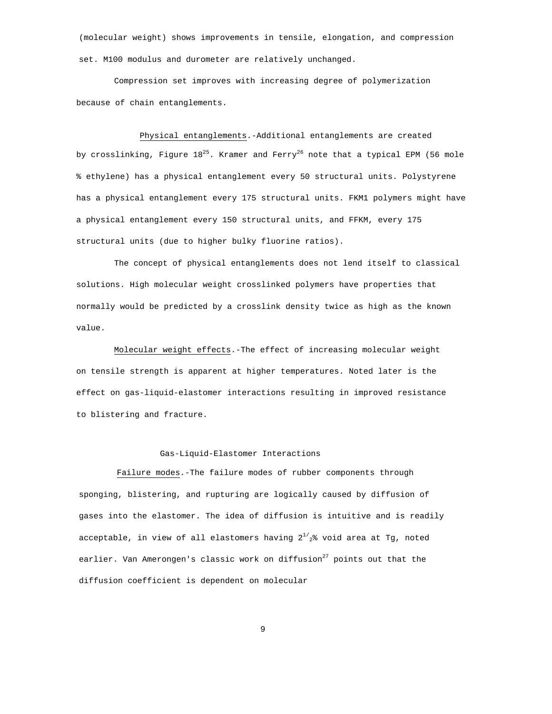(molecular weight) shows improvements in tensile, elongation, and compression set. M100 modulus and durometer are relatively unchanged.

Compression set improves with increasing degree of polymerization because of chain entanglements.

Physical entanglements.-Additional entanglements are created by crosslinking, Figure  $18^{25}$ . Kramer and Ferry<sup>26</sup> note that a typical EPM (56 mole % ethylene) has a physical entanglement every 50 structural units. Polystyrene has a physical entanglement every 175 structural units. FKM1 polymers might have a physical entanglement every 150 structural units, and FFKM, every 175 structural units (due to higher bulky fluorine ratios).

The concept of physical entanglements does not lend itself to classical solutions. High molecular weight crosslinked polymers have properties that normally would be predicted by a crosslink density twice as high as the known value.

Molecular weight effects.-The effect of increasing molecular weight on tensile strength is apparent at higher temperatures. Noted later is the effect on gas-liquid-elastomer interactions resulting in improved resistance to blistering and fracture.

#### Gas-Liquid-Elastomer Interactions

Failure modes.-The failure modes of rubber components through sponging, blistering, and rupturing are logically caused by diffusion of gases into the elastomer. The idea of diffusion is intuitive and is readily acceptable, in view of all elastomers having  $2^{1/2}$ % void area at Tg, noted earlier. Van Amerongen's classic work on diffusion<sup>27</sup> points out that the diffusion coefficient is dependent on molecular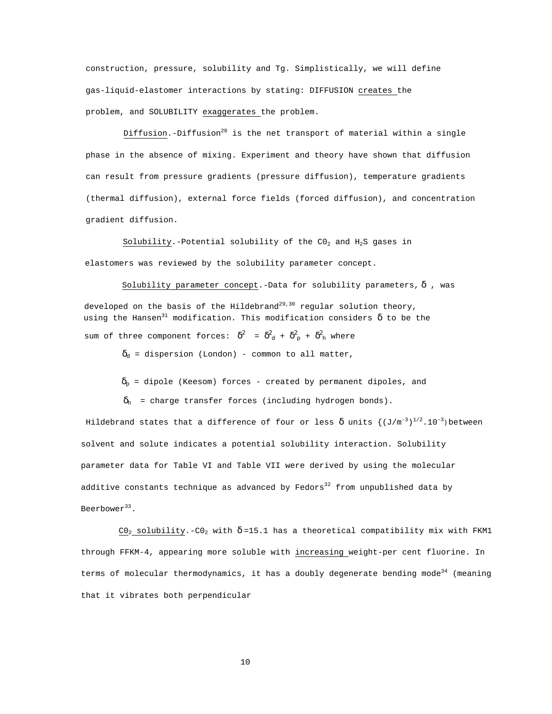construction, pressure, solubility and Tg. Simplistically, we will define gas-liquid-elastomer interactions by stating: DIFFUSION creates the problem, and SOLUBILITY exaggerates the problem.

Diffusion.-Diffusion<sup>28</sup> is the net transport of material within a single phase in the absence of mixing. Experiment and theory have shown that diffusion can result from pressure gradients (pressure diffusion), temperature gradients (thermal diffusion), external force fields (forced diffusion), and concentration gradient diffusion.

Solubility.-Potential solubility of the  $CO_2$  and  $H_2S$  gases in elastomers was reviewed by the solubility parameter concept.

Solubility parameter concept.-Data for solubility parameters,  $\delta$  , was developed on the basis of the Hildebrand<sup>29,30</sup> regular solution theory, using the Hansen<sup>31</sup> modification. This modification considers  $\delta$  to be the sum of three component forces:  $\delta^2$  =  $\delta^2_{\rm d}$  +  $\delta^2_{\rm p}$  +  $\delta^2_{\rm h}$  where

 $\delta_d$  = dispersion (London) - common to all matter,

 $\delta_p$  = dipole (Keesom) forces - created by permanent dipoles, and

 $\delta_h$  = charge transfer forces (including hydrogen bonds).

Hildebrand states that a difference of four or less  $\delta$  units  $\{(\mathbb{J}/\mathfrak{m}^{-3})^{1/2}.\mathbb{10}^{-3}\}$  between solvent and solute indicates a potential solubility interaction. Solubility parameter data for Table VI and Table VII were derived by using the molecular additive constants technique as advanced by Fedors<sup>32</sup> from unpublished data by Beerbower<sup>33</sup>.

C0<sub>2</sub> solubility.-C0<sub>2</sub> with  $\delta$ =15.1 has a theoretical compatibility mix with FKM1 through FFKM-4, appearing more soluble with increasing weight-per cent fluorine. In terms of molecular thermodynamics, it has a doubly degenerate bending mode<sup>34</sup> (meaning that it vibrates both perpendicular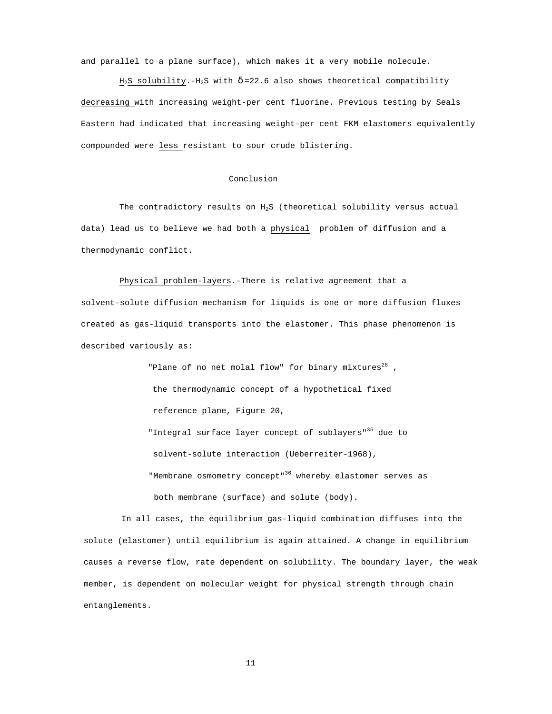and parallel to a plane surface), which makes it a very mobile molecule.

 $H_2S$  solubility.- $H_2S$  with  $\delta$ =22.6 also shows theoretical compatibility decreasing with increasing weight-per cent fluorine. Previous testing by Seals Eastern had indicated that increasing weight-per cent FKM elastomers equivalently compounded were less resistant to sour crude blistering.

#### Conclusion

The contradictory results on  $H_2S$  (theoretical solubility versus actual data) lead us to believe we had both a physical problem of diffusion and a thermodynamic conflict.

Physical problem-layers.-There is relative agreement that a

solvent-solute diffusion mechanism for liquids is one or more diffusion fluxes created as gas-liquid transports into the elastomer. This phase phenomenon is described variously as:

> "Plane of no net molal flow" for binary mixtures $^{28}$  , the thermodynamic concept of a hypothetical fixed reference plane, Figure 20, "Integral surface layer concept of sublayers"<sup>35</sup> due to solvent-solute interaction (Ueberreiter-1968),

"Membrane osmometry concept"<sup>36</sup> whereby elastomer serves as both membrane (surface) and solute (body).

In all cases, the equilibrium gas-liquid combination diffuses into the solute (elastomer) until equilibrium is again attained. A change in equilibrium causes a reverse flow, rate dependent on solubility. The boundary layer, the weak member, is dependent on molecular weight for physical strength through chain entanglements.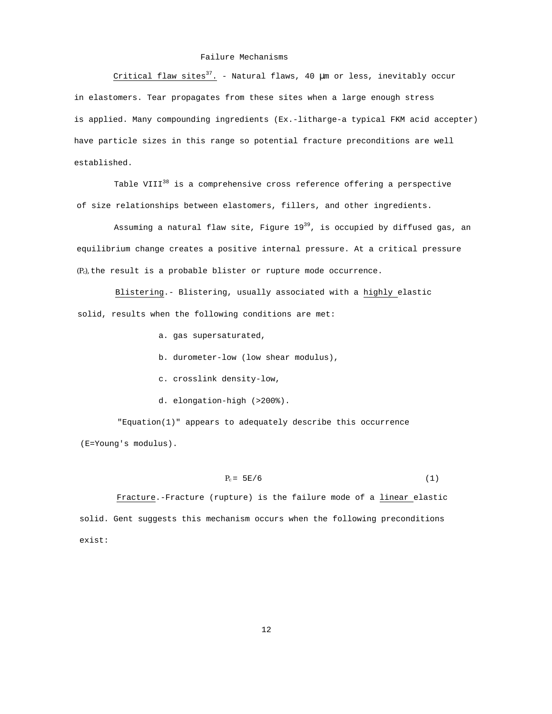#### Failure Mechanisms

Critical flaw sites<sup>37</sup>. - Natural flaws, 40  $\mu$ m or less, inevitably occur in elastomers. Tear propagates from these sites when a large enough stress is applied. Many compounding ingredients (Ex.-litharge-a typical FKM acid accepter) have particle sizes in this range so potential fracture preconditions are well established.

Table VIII $^{38}$  is a comprehensive cross reference offering a perspective of size relationships between elastomers, fillers, and other ingredients.

Assuming a natural flaw site, Figure  $19^{39}$ , is occupied by diffused gas, an equilibrium change creates a positive internal pressure. At a critical pressure  $(P<sub>c</sub>)$ , the result is a probable blister or rupture mode occurrence.

Blistering.- Blistering, usually associated with a highly elastic solid, results when the following conditions are met:

- a. gas supersaturated,
- b. durometer-low (low shear modulus),
- c. crosslink density-low,
- d. elongation-high (>200%).

"Equation(1)" appears to adequately describe this occurrence (E=Young's modulus).

 $P_c = 5E/6$  (1)

Fracture.-Fracture (rupture) is the failure mode of a linear elastic solid. Gent suggests this mechanism occurs when the following preconditions exist: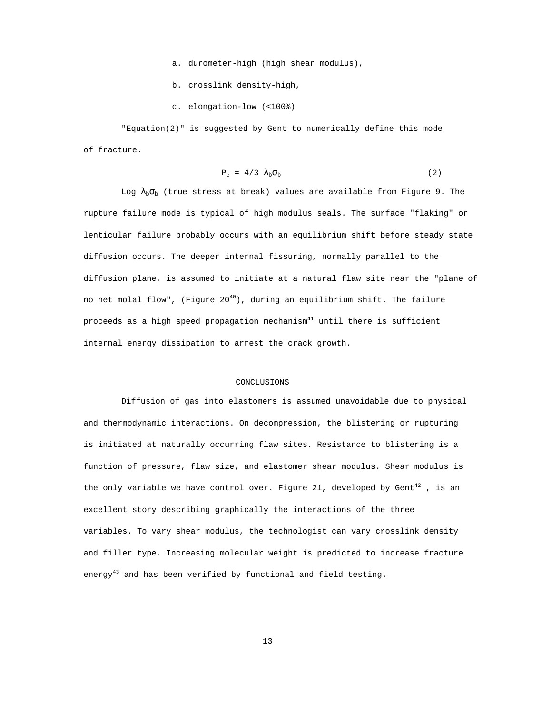- a. durometer-high (high shear modulus),
- b. crosslink density-high,
- c. elongation-low (<100%)

"Equation(2)" is suggested by Gent to numerically define this mode of fracture.

$$
P_c = 4/3 \lambda_b \sigma_b \tag{2}
$$

Log  $\lambda_b \sigma_b$  (true stress at break) values are available from Figure 9. The rupture failure mode is typical of high modulus seals. The surface "flaking" or lenticular failure probably occurs with an equilibrium shift before steady state diffusion occurs. The deeper internal fissuring, normally parallel to the diffusion plane, is assumed to initiate at a natural flaw site near the "plane of no net molal flow", (Figure  $20^{40}$ ), during an equilibrium shift. The failure proceeds as a high speed propagation mechanism $41$  until there is sufficient internal energy dissipation to arrest the crack growth.

#### CONCLUSTONS

Diffusion of gas into elastomers is assumed unavoidable due to physical and thermodynamic interactions. On decompression, the blistering or rupturing is initiated at naturally occurring flaw sites. Resistance to blistering is a function of pressure, flaw size, and elastomer shear modulus. Shear modulus is the only variable we have control over. Figure 21, developed by Gent<sup>42</sup>, is an excellent story describing graphically the interactions of the three variables. To vary shear modulus, the technologist can vary crosslink density and filler type. Increasing molecular weight is predicted to increase fracture energy<sup>43</sup> and has been verified by functional and field testing.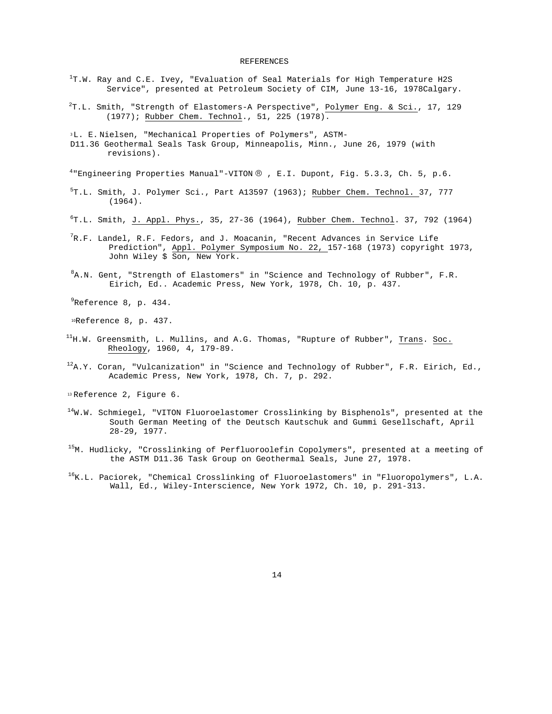#### REFERENCES

- $^{1}$ T.W. Ray and C.E. Ivey, "Evaluation of Seal Materials for High Temperature H2S Service", presented at Petroleum Society of CIM, June 13-16, 1978Calgary.
- <sup>2</sup>T.L. Smith, "Strength of Elastomers-A Perspective", Polymer Eng. & Sci., 17, 129 (1977); Rubber Chem. Technol., 51, 225 (1978).
- <sup>3</sup>L. E. Nielsen, "Mechanical Properties of Polymers", ASTM-
- D11.36 Geothermal Seals Task Group, Minneapolis, Minn., June 26, 1979 (with revisions).

<sup>4</sup> Engineering Properties Manual"-VITON ® , E.I. Dupont, Fig. 5.3.3, Ch. 5, p.6.

- <sup>5</sup>T.L. Smith, J. Polymer Sci., Part A13597 (1963); Rubber Chem. Technol. 37, 777 (1964).
- 6 T.L. Smith, J. Appl. Phys., 35, 27-36 (1964), Rubber Chem. Technol. 37, 792 (1964)
- $^{7}$ R.F. Landel, R.F. Fedors, and J. Moacanin, "Recent Advances in Service Life Prediction", Appl. Polymer Symposium No. 22, 157-168 (1973) copyright 1973, John Wiley \$ Son, New York.
- <sup>8</sup>A.N. Gent, "Strength of Elastomers" in "Science and Technology of Rubber", F.R. Eirich, Ed.. Academic Press, New York, 1978, Ch. 10, p. 437.

 $^{9}$ Reference 8, p. 434.

<sup>10</sup>Reference 8, p. 437.

- $^{11}$ H.W. Greensmith, L. Mullins, and A.G. Thomas, "Rupture of Rubber",  $\underline{\text{Trans}}$ . Soc. Rheology, 1960, 4, 179-89.
- $12A.Y.$  Coran, "Vulcanization" in "Science and Technology of Rubber", F.R. Eirich, Ed., Academic Press, New York, 1978, Ch. 7, p. 292.

<sup>13</sup> Reference 2, Figure 6.

- $14$ W.W. Schmiegel, "VITON Fluoroelastomer Crosslinking by Bisphenols", presented at the South German Meeting of the Deutsch Kautschuk and Gummi Gesellschaft, April 28-29, 1977.
- 15M. Hudlicky, "Crosslinking of Perfluoroolefin Copolymers", presented at a meeting of the ASTM D11.36 Task Group on Geothermal Seals, June 27, 1978.
- $16K.L.$  Paciorek, "Chemical Crosslinking of Fluoroelastomers" in "Fluoropolymers", L.A. Wall, Ed., Wiley-Interscience, New York 1972, Ch. 10, p. 291-313.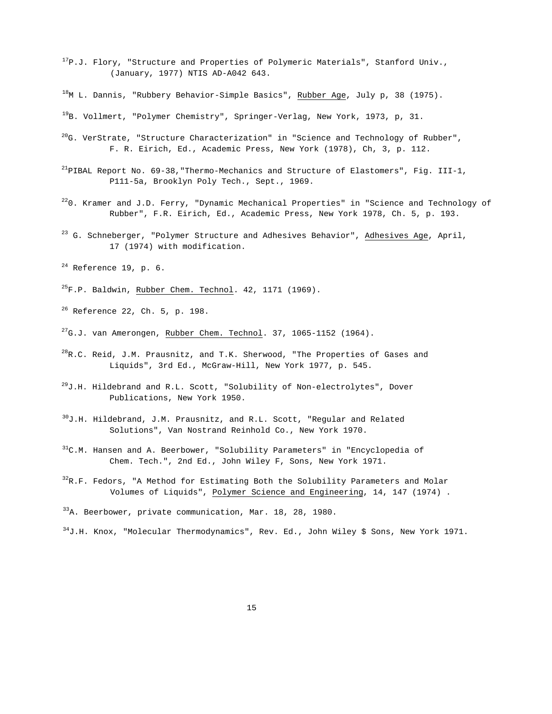- $17P.J.$  Flory, "Structure and Properties of Polymeric Materials", Stanford Univ., (January, 1977) NTIS AD-A042 643.
- $^{18}$ M L. Dannis, "Rubbery Behavior-Simple Basics", Rubber Age, July p, 38 (1975).
- $^{19}$ B. Vollmert, "Polymer Chemistry", Springer-Verlag, New York, 1973, p, 31.
- $^{20}$ G. VerStrate, "Structure Characterization" in "Science and Technology of Rubber", F. R. Eirich, Ed., Academic Press, New York (1978), Ch, 3, p. 112.
- $^{21}$ PIBAL Report No. 69-38, "Thermo-Mechanics and Structure of Elastomers", Fig. III-1, P111-5a, Brooklyn Poly Tech., Sept., 1969.
- $220$ . Kramer and J.D. Ferry, "Dynamic Mechanical Properties" in "Science and Technology of Rubber", F.R. Eirich, Ed., Academic Press, New York 1978, Ch. 5, p. 193.
- <sup>23</sup> G. Schneberger, "Polymer Structure and Adhesives Behavior", Adhesives Age, April, 17 (1974) with modification.
- $24$  Reference 19, p. 6.
- $^{25}$ F.P. Baldwin, Rubber Chem. Technol. 42, 1171 (1969).
- $^{26}$  Reference 22, Ch. 5, p. 198.
- $^{27}$ G.J. van Amerongen, Rubber Chem. Technol. 37, 1065-1152 (1964).
- $^{28}$ R.C. Reid, J.M. Prausnitz, and T.K. Sherwood, "The Properties of Gases and Liquids", 3rd Ed., McGraw-Hill, New York 1977, p. 545.
- $^{29}$ J.H. Hildebrand and R.L. Scott, "Solubility of Non-electrolytes", Dover Publications, New York 1950.
- $30J.H.$  Hildebrand, J.M. Prausnitz, and R.L. Scott, "Regular and Related Solutions", Van Nostrand Reinhold Co., New York 1970.
- $31C$ .M. Hansen and A. Beerbower, "Solubility Parameters" in "Encyclopedia of Chem. Tech.", 2nd Ed., John Wiley F, Sons, New York 1971.
- $32R.F.$  Fedors, "A Method for Estimating Both the Solubility Parameters and Molar Volumes of Liquids", Polymer Science and Engineering, 14, 147 (1974) .
- <sup>33</sup>A. Beerbower, private communication, Mar. 18, 28, 1980.
- <sup>34</sup>J.H. Knox, "Molecular Thermodynamics", Rev. Ed., John Wiley \$ Sons, New York 1971.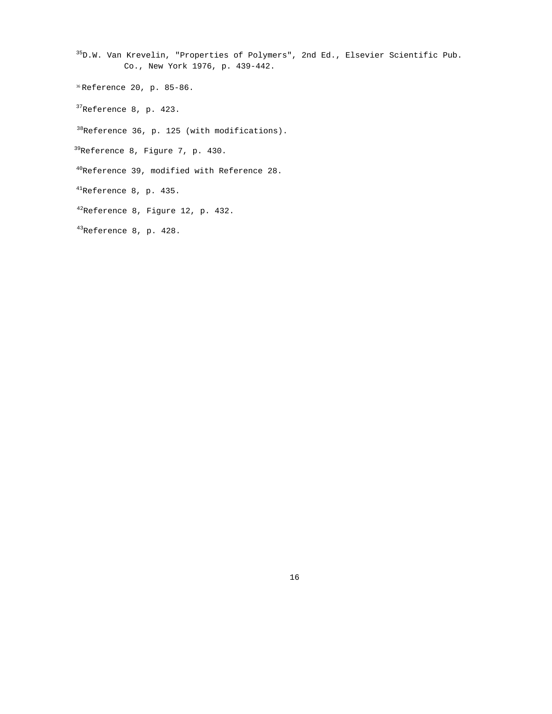- 35D.W. Van Krevelin, "Properties of Polymers", 2nd Ed., Elsevier Scientific Pub. Co., New York 1976, p. 439-442.
- <sup>36</sup> Reference 20, p. 85-86.
- 37Reference 8, p. 423.
- $38$ Reference 36, p. 125 (with modifications).
- 39Reference 8, Figure 7, p. 430.
- 40Reference 39, modified with Reference 28.
- 41Reference 8, p. 435.
- 42Reference 8, Figure 12, p. 432.
- 43Reference 8, p. 428.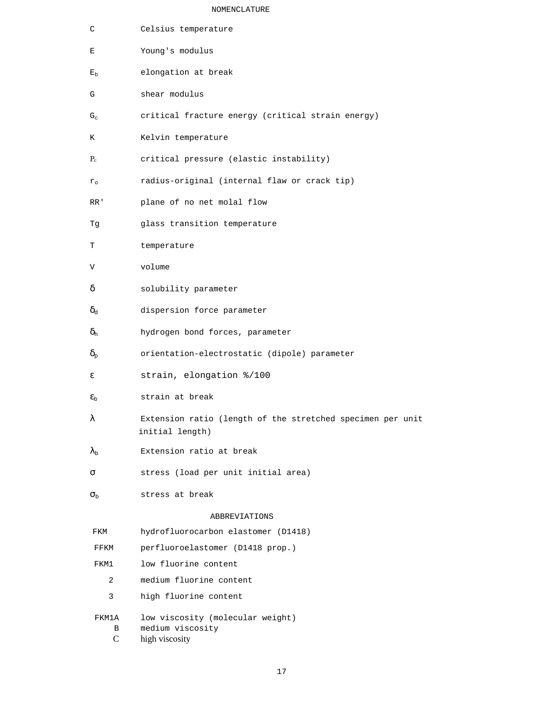### NOMENCLATURE

| C                                        | Celsius temperature                                                           |
|------------------------------------------|-------------------------------------------------------------------------------|
| Е                                        | Young's modulus                                                               |
| $E_{\rm b}$                              | elongation at break                                                           |
| G                                        | shear modulus                                                                 |
| $G_c$                                    | critical fracture energy (critical strain energy)                             |
| Κ                                        | Kelvin temperature                                                            |
| $P_c$                                    | critical pressure (elastic instability)                                       |
| $r_{\circ}$                              | radius-original (internal flaw or crack tip)                                  |
| RR'                                      | plane of no net molal flow                                                    |
| Тg                                       | glass transition temperature                                                  |
| т                                        | temperature                                                                   |
| V                                        | volume                                                                        |
| δ                                        | solubility parameter                                                          |
| $\delta_{\text{d}}$                      | dispersion force parameter                                                    |
| $\delta_{\rm h}$                         | hydrogen bond forces, parameter                                               |
| $\delta_{\scriptscriptstyle \mathrm{p}}$ | orientation-electrostatic (dipole) parameter                                  |
| ε                                        | strain, elongation %/100                                                      |
| $\epsilon_{\rm b}$                       | strain at break                                                               |
| λ                                        | Extension ratio (length of the stretched specimen per unit<br>initial length) |
| $\lambda_{\rm b}$                        | Extension ratio at break                                                      |
| σ                                        | stress (load per unit initial area)                                           |
| $\sigma_{\rm b}$                         | stress at break                                                               |
|                                          | ABBREVIATIONS                                                                 |
| FKM                                      | hydrofluorocarbon elastomer (D1418)                                           |
| FFKM                                     | perfluoroelastomer (D1418 prop.)                                              |
| FKM1                                     | low fluorine content                                                          |
| 2                                        | medium fluorine content                                                       |
| 3                                        | high fluorine content                                                         |
| FKM1A                                    | low viscosity (molecular weight)                                              |

B medium viscosity<br>C high viscosity high viscosity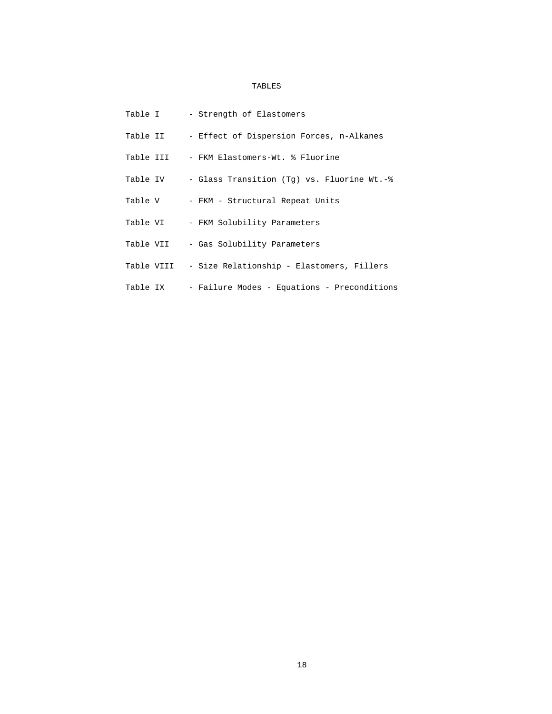## TABLES

| Table I    | - Strength of Elastomers                    |
|------------|---------------------------------------------|
| Table II   | - Effect of Dispersion Forces, n-Alkanes    |
| Table III  | - FKM Elastomers-Wt. % Fluorine             |
| Table IV   | - Glass Transition (Tq) vs. Fluorine Wt.-%  |
| Table V    | - FKM - Structural Repeat Units             |
| Table VI   | - FKM Solubility Parameters                 |
| Table VII  | - Gas Solubility Parameters                 |
| Table VIII | - Size Relationship - Elastomers, Fillers   |
| Table IX   | - Failure Modes - Equations - Preconditions |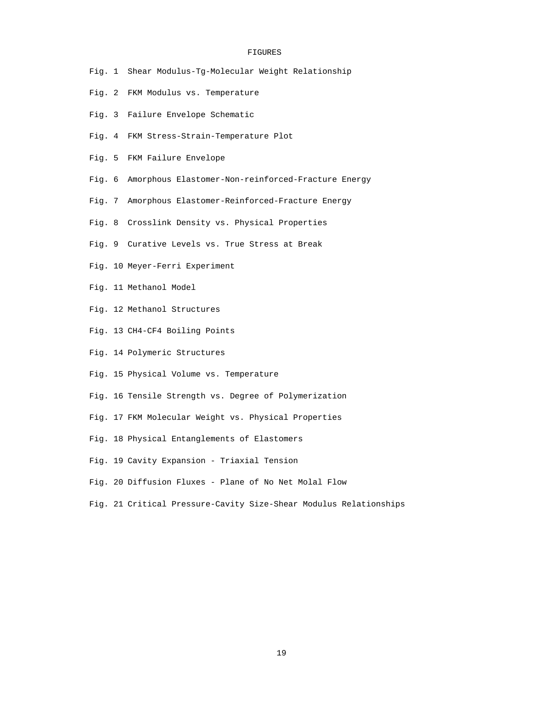#### FIGURES

- Fig. 1 Shear Modulus-Tg-Molecular Weight Relationship
- Fig. 2 FKM Modulus vs. Temperature
- Fig. 3 Failure Envelope Schematic
- Fig. 4 FKM Stress-Strain-Temperature Plot
- Fig. 5 FKM Failure Envelope
- Fig. 6 Amorphous Elastomer-Non-reinforced-Fracture Energy
- Fig. 7 Amorphous Elastomer-Reinforced-Fracture Energy
- Fig. 8 Crosslink Density vs. Physical Properties
- Fig. 9 Curative Levels vs. True Stress at Break
- Fig. 10 Meyer-Ferri Experiment
- Fig. 11 Methanol Model
- Fig. 12 Methanol Structures
- Fig. 13 CH4-CF4 Boiling Points
- Fig. 14 Polymeric Structures
- Fig. 15 Physical Volume vs. Temperature
- Fig. 16 Tensile Strength vs. Degree of Polymerization
- Fig. 17 FKM Molecular Weight vs. Physical Properties
- Fig. 18 Physical Entanglements of Elastomers
- Fig. 19 Cavity Expansion Triaxial Tension
- Fig. 20 Diffusion Fluxes Plane of No Net Molal Flow
- Fig. 21 Critical Pressure-Cavity Size-Shear Modulus Relationships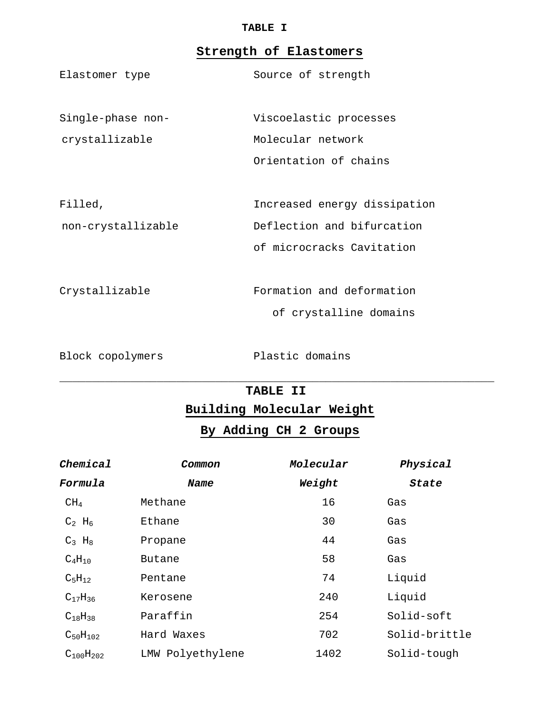## **TABLE I**

## **Strength of Elastomers**

| Elastomer type    | Source of strength     |
|-------------------|------------------------|
| Single-phase non- | Viscoelastic processes |
| crystallizable    | Molecular network      |
|                   | Orientation of chains  |
|                   |                        |
|                   |                        |

Filled, Increased energy dissipation non-crystallizable Deflection and bifurcation of microcracks Cavitation

Crystallizable Formation and deformation of crystalline domains

Block copolymers **Plastic domains** 

## \_\_\_\_\_\_\_\_\_\_\_\_\_\_\_\_\_\_\_\_\_\_\_\_\_\_\_\_\_\_\_\_\_\_\_\_\_\_\_\_\_\_\_\_\_\_\_\_\_\_\_\_\_\_\_\_\_\_\_\_\_\_\_\_\_\_\_ **TABLE II**

**Building Molecular Weight**

## **By Adding CH 2 Groups**

| Chemical             | Common           | Molecular | Physical      |
|----------------------|------------------|-----------|---------------|
| Formula              | Name             | Weight    | State         |
| CH <sub>4</sub>      | Methane          | 16        | Gas           |
| $C_2$ H <sub>6</sub> | Ethane           | 30        | Gas           |
| $C_3$ H <sub>8</sub> | Propane          | 44        | Gas           |
| $C_4H_{10}$          | Butane           | 58        | Gas           |
| $C_5H_{12}$          | Pentane          | 74        | Liquid        |
| $C_{17}H_{36}$       | Kerosene         | 240       | Liquid        |
| $C_{18}H_{38}$       | Paraffin         | 254       | Solid-soft    |
| $C_{50}H_{102}$      | Hard Waxes       | 702       | Solid-brittle |
| $C_{100}H_{202}$     | LMW Polyethylene | 1402      | Solid-tough   |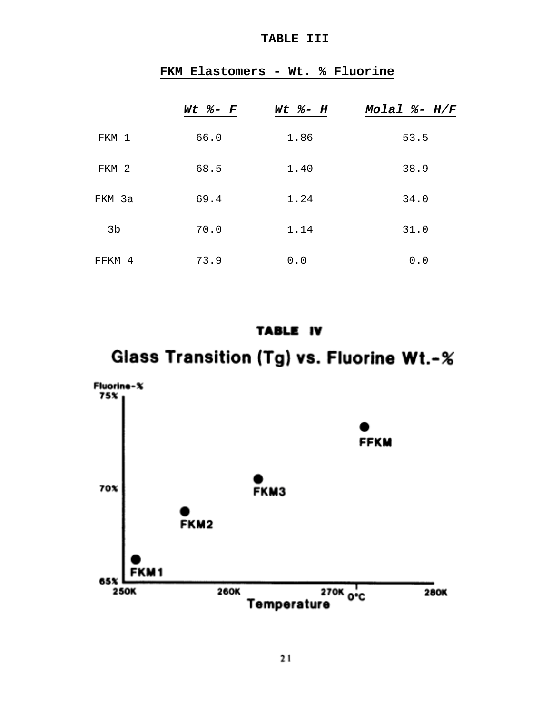## **TABLE III**

|        | $Wt$ %- $F$ | $Wt$ %- $H$ | Molal $% - H/F$ |
|--------|-------------|-------------|-----------------|
| FKM 1  | 66.0        | 1.86        | 53.5            |
| FKM 2  | 68.5        | 1.40        | 38.9            |
| FKM 3a | 69.4        | 1.24        | 34.0            |
| 3b     | 70.0        | 1.14        | 31.0            |
| FFKM 4 | 73.9        | 0.0         | 0.0             |

## **FKM Elastomers - Wt. % Fluorine**

## TABLE IV

# Glass Transition (Tg) vs. Fluorine Wt.-%

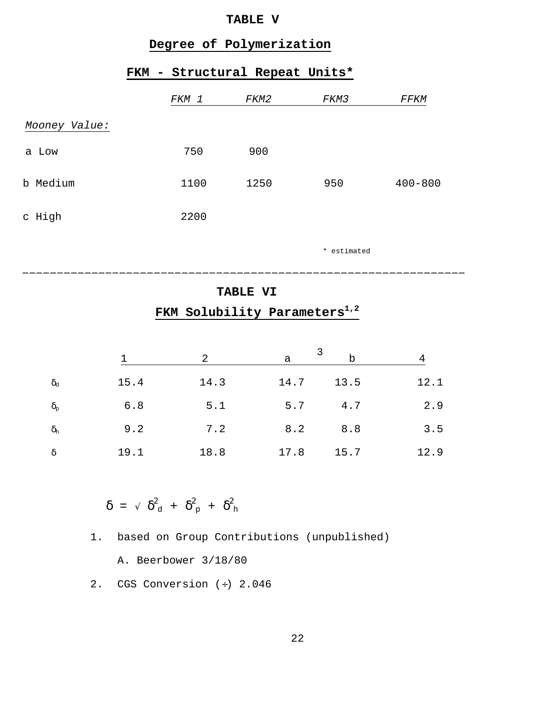## **TABLE V**

## **Degree of Polymerization**

## **FKM - Structural Repeat Units\***

|               | FKM 1 | FKM2 | FKM3 | <i>FFKM</i> |
|---------------|-------|------|------|-------------|
| Mooney Value: |       |      |      |             |
| a Low         | 750   | 900  |      |             |
| b Medium      | 1100  | 1250 | 950  | $400 - 800$ |
| c High        | 2200  |      |      |             |
|               |       |      |      |             |

\* estimated

## **TABLE VI**

\_\_\_\_\_\_\_\_\_\_\_\_\_\_\_\_\_\_\_\_\_\_\_\_\_\_\_\_\_\_\_\_\_\_\_\_\_\_\_\_\_\_\_\_\_\_\_\_\_\_\_\_\_\_\_\_\_\_\_\_\_\_\_\_

## **FKM Solubility Parameters1,2**

|                           |      | 2    | a    | b    | 4    |
|---------------------------|------|------|------|------|------|
| $\delta_{\text{\tiny d}}$ | 15.4 | 14.3 | 14.7 | 13.5 | 12.1 |
| $\delta_{\rm p}$          | 6.8  | 5.1  | 5.7  | 4.7  | 2.9  |
| $\delta_{\rm h}$          | 9.2  | 7.2  | 8.2  | 8.8  | 3.5  |
| δ                         | 19.1 | 18.8 | 17.8 | 15.7 | 12.9 |

 $\delta = \sqrt{\delta_{\rm d}} + \delta_{\rm p}^2 + \delta_{\rm h}^2$ 

1. based on Group Contributions (unpublished)

A. Beerbower 3/18/80

2. CGS Conversion (÷) 2.046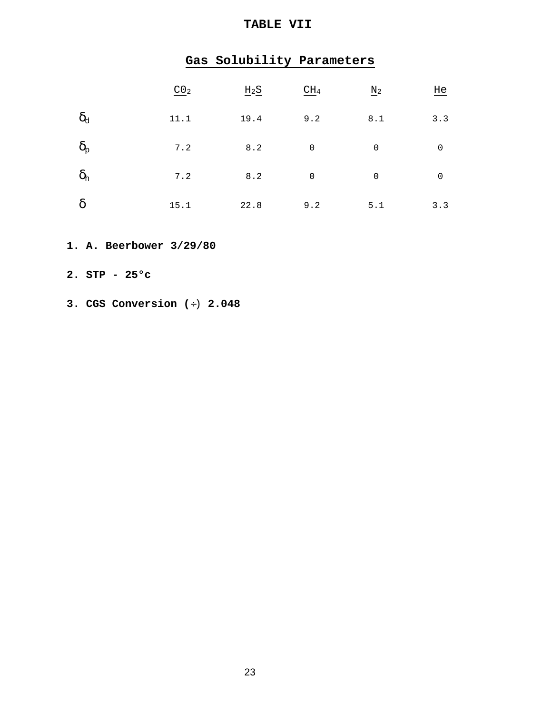## **TABLE VII**

|                  | Gas Solubility Parameters |        |                 |             |             |
|------------------|---------------------------|--------|-----------------|-------------|-------------|
|                  | CO <sub>2</sub>           | $H_2S$ | CH <sub>4</sub> | $\rm N_2$   | He          |
| $\delta_{\rm d}$ | 11.1                      | 19.4   | 9.2             | 8.1         | 3.3         |
| $\delta_{\rm p}$ | 7.2                       | 8.2    | $\mathbf 0$     | $\mathbf 0$ | $\mathbf 0$ |
| $\delta_{\rm h}$ | 7.2                       | 8.2    | $\mathbf 0$     | $\mathbf 0$ | $\mathbf 0$ |
| $\delta$         | 15.1                      | 22.8   | 9.2             | 5.1         | 3.3         |

- **1. A. Beerbower 3/29/80**
- **2. STP 25°c**
- **3. CGS Conversion (**÷) **2.048**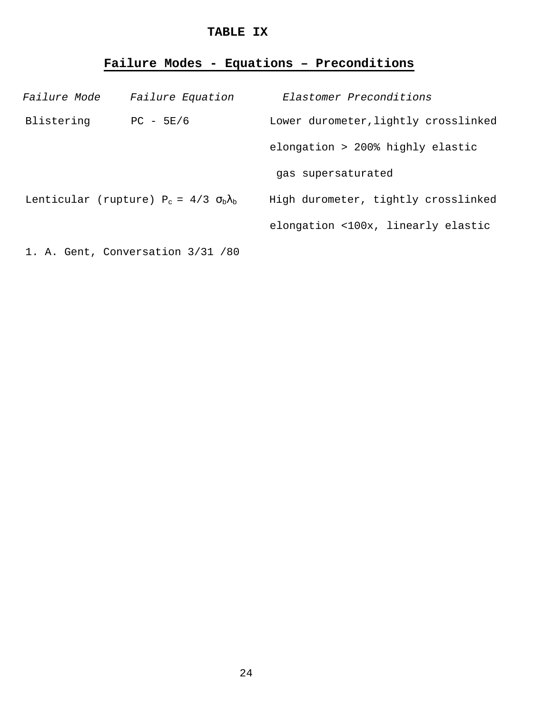## **TABLE IX**

## **Failure Modes - Equations – Preconditions**

| <i>Failure Mode</i> | Failure Equation                                    | Elastomer Preconditions              |
|---------------------|-----------------------------------------------------|--------------------------------------|
| Blistering          | $PC - 5E/6$                                         | Lower durometer, lightly crosslinked |
|                     |                                                     | elongation > 200% highly elastic     |
|                     |                                                     | gas supersaturated                   |
|                     | Lenticular (rupture) $P_c = 4/3 \sigma_b \lambda_b$ | High durometer, tightly crosslinked  |
|                     |                                                     | elongation <100x, linearly elastic   |
|                     | 1. A. Gent, Conversation 3/31 /80                   |                                      |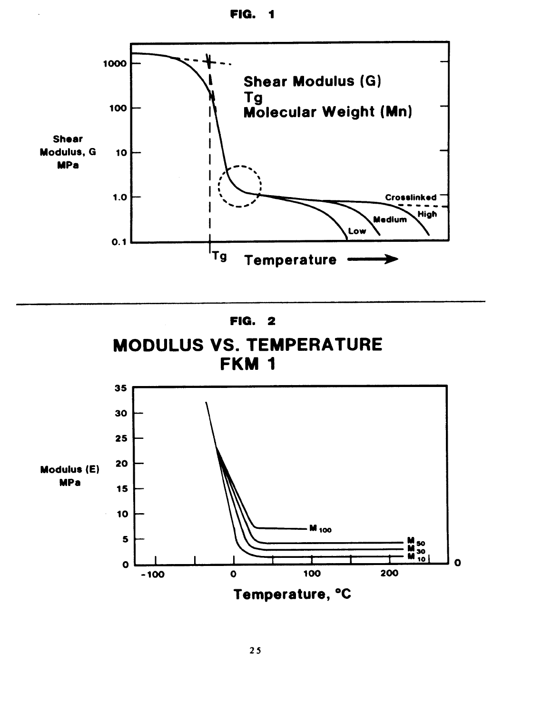



![](_page_29_Figure_2.jpeg)

![](_page_29_Figure_3.jpeg)

![](_page_29_Figure_4.jpeg)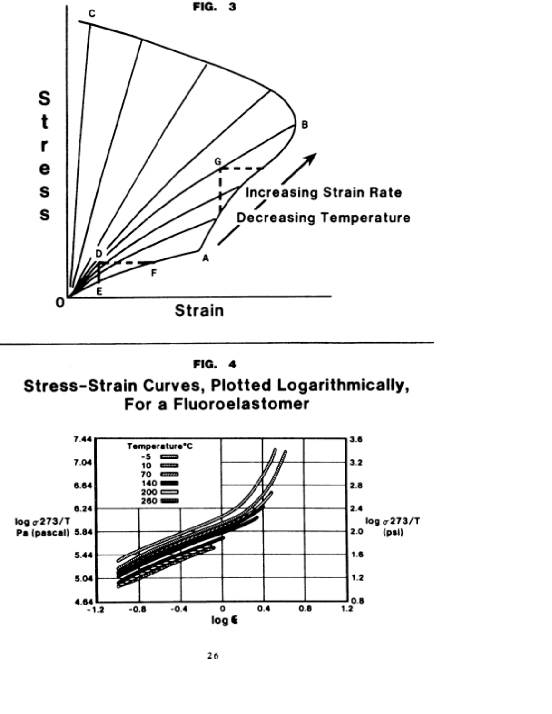![](_page_30_Figure_0.jpeg)

![](_page_30_Figure_1.jpeg)

Stress-Strain Curves, Plotted Logarithmically, For a Fluoroelastomer

![](_page_30_Figure_3.jpeg)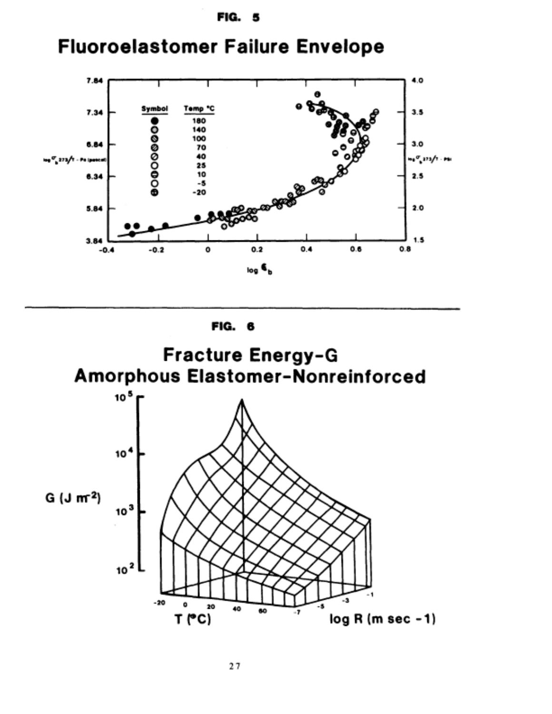**FIG. 5** 

![](_page_31_Figure_1.jpeg)

![](_page_31_Figure_2.jpeg)

![](_page_31_Figure_3.jpeg)

![](_page_31_Figure_4.jpeg)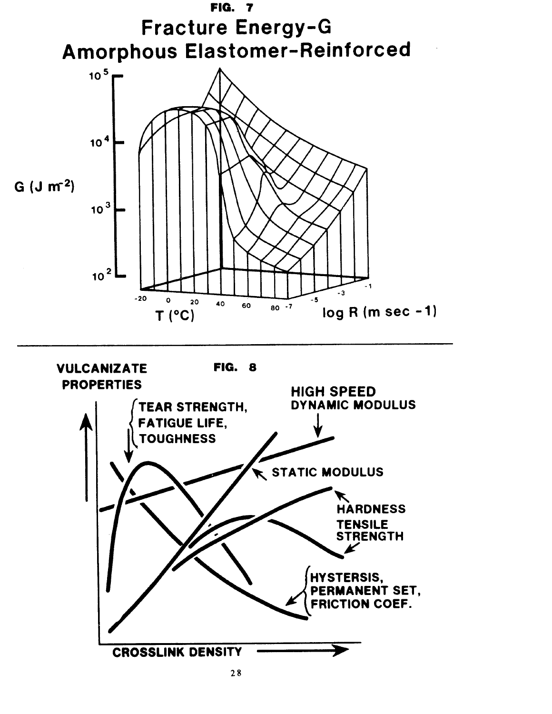![](_page_33_Figure_0.jpeg)

![](_page_33_Figure_1.jpeg)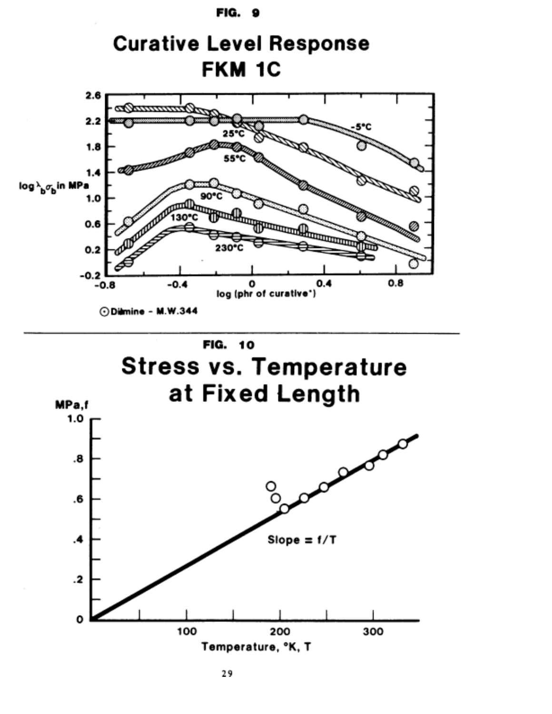![](_page_34_Figure_0.jpeg)

![](_page_34_Figure_1.jpeg)

**Stress vs. Temperature** at Fixed Length

![](_page_34_Figure_3.jpeg)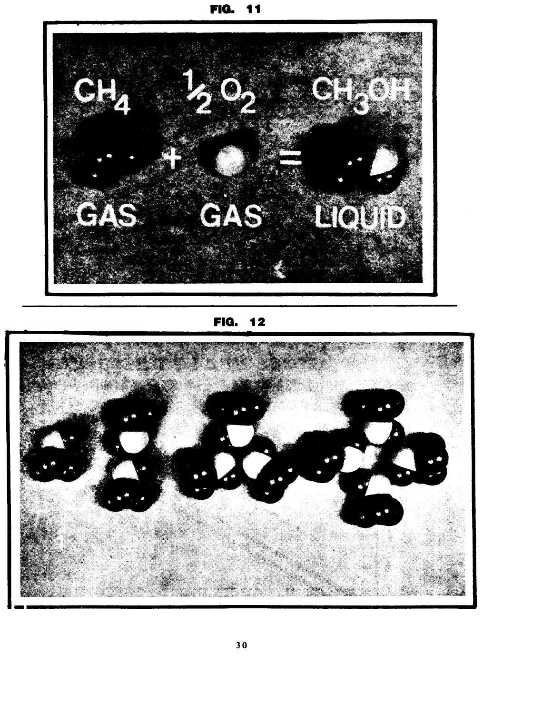![](_page_35_Picture_0.jpeg)

![](_page_35_Picture_1.jpeg)

**FIG. 12** 

![](_page_35_Picture_3.jpeg)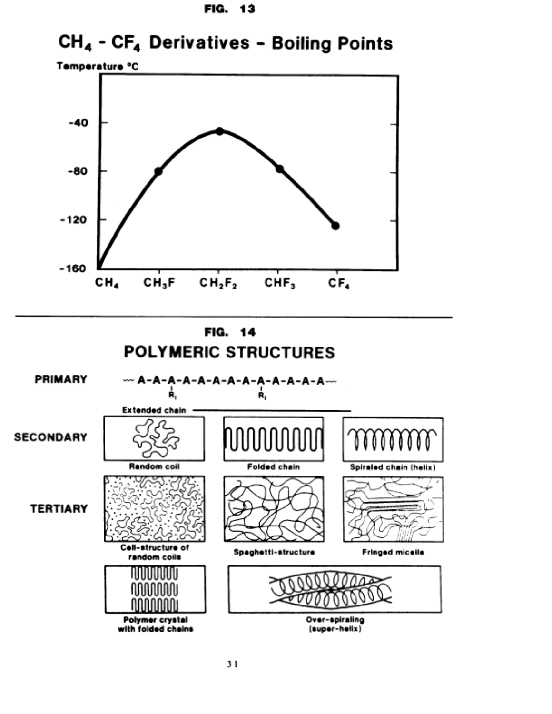![](_page_36_Figure_0.jpeg)

# CH<sub>4</sub> - CF<sub>4</sub> Derivatives - Boiling Points

![](_page_36_Figure_2.jpeg)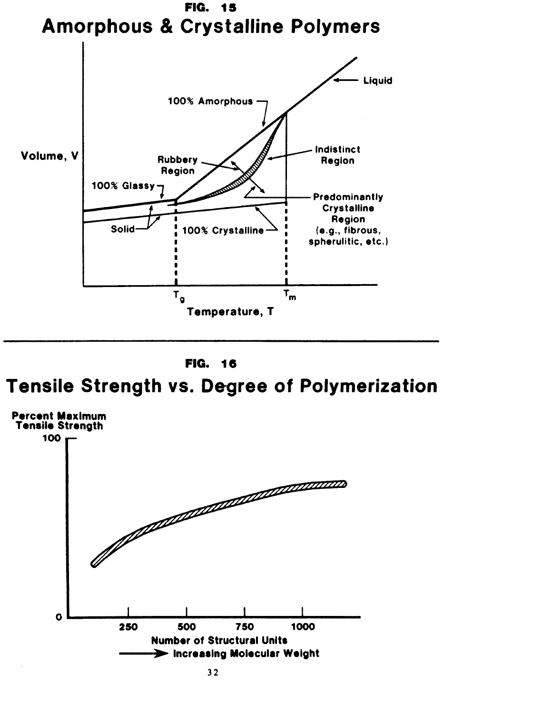![](_page_37_Figure_0.jpeg)

![](_page_37_Figure_1.jpeg)

# **Tensile Strength vs. Degree of Polymerization**

![](_page_37_Figure_3.jpeg)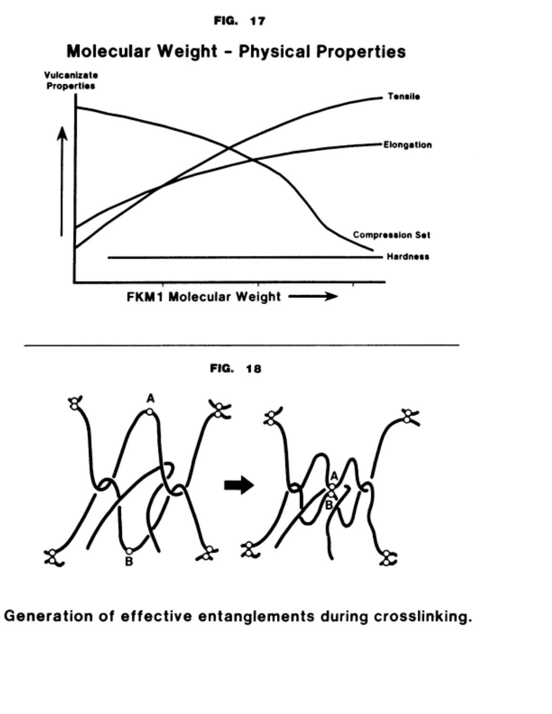![](_page_38_Figure_0.jpeg)

# **Molecular Weight - Physical Properties**

![](_page_38_Figure_2.jpeg)

![](_page_38_Figure_3.jpeg)

![](_page_38_Figure_4.jpeg)

Generation of effective entanglements during crosslinking.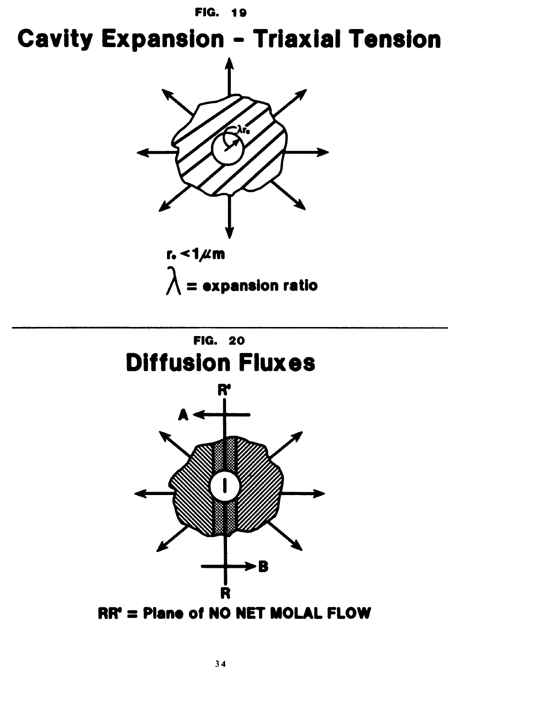**Cavity Expansion - Triaxial Tension** 

![](_page_39_Figure_2.jpeg)

![](_page_39_Figure_3.jpeg)